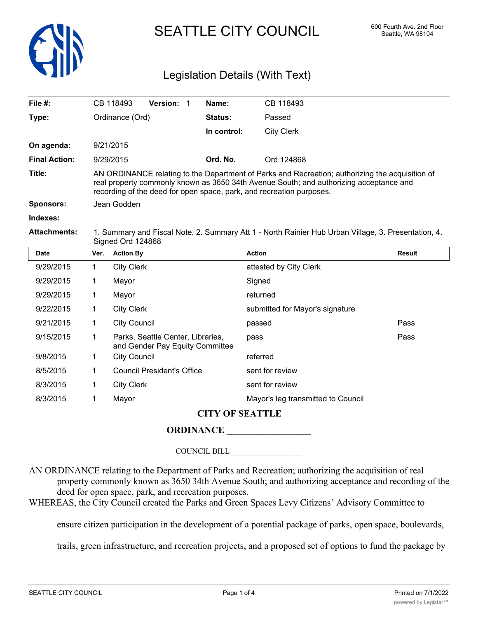

# SEATTLE CITY COUNCIL 600 Fourth Ave. 2nd Floor

## Legislation Details (With Text)

| File $#$ :           |                                                                                                                          | CB 118493                                                                                                                                                                                                                                                         | Version: 1                                                           |  | Name:          | CB 118493                          |               |  |  |
|----------------------|--------------------------------------------------------------------------------------------------------------------------|-------------------------------------------------------------------------------------------------------------------------------------------------------------------------------------------------------------------------------------------------------------------|----------------------------------------------------------------------|--|----------------|------------------------------------|---------------|--|--|
| Type:                |                                                                                                                          | Ordinance (Ord)                                                                                                                                                                                                                                                   |                                                                      |  | <b>Status:</b> | Passed                             |               |  |  |
|                      |                                                                                                                          |                                                                                                                                                                                                                                                                   |                                                                      |  | In control:    | <b>City Clerk</b>                  |               |  |  |
| On agenda:           |                                                                                                                          | 9/21/2015                                                                                                                                                                                                                                                         |                                                                      |  |                |                                    |               |  |  |
| <b>Final Action:</b> |                                                                                                                          | 9/29/2015                                                                                                                                                                                                                                                         |                                                                      |  | Ord. No.       | Ord 124868                         |               |  |  |
| Title:               |                                                                                                                          | AN ORDINANCE relating to the Department of Parks and Recreation; authorizing the acquisition of<br>real property commonly known as 3650 34th Avenue South; and authorizing acceptance and<br>recording of the deed for open space, park, and recreation purposes. |                                                                      |  |                |                                    |               |  |  |
| <b>Sponsors:</b>     | Jean Godden                                                                                                              |                                                                                                                                                                                                                                                                   |                                                                      |  |                |                                    |               |  |  |
| Indexes:             |                                                                                                                          |                                                                                                                                                                                                                                                                   |                                                                      |  |                |                                    |               |  |  |
| <b>Attachments:</b>  | 1. Summary and Fiscal Note, 2. Summary Att 1 - North Rainier Hub Urban Village, 3. Presentation, 4.<br>Signed Ord 124868 |                                                                                                                                                                                                                                                                   |                                                                      |  |                |                                    |               |  |  |
| <b>Date</b>          | Ver.                                                                                                                     | <b>Action By</b>                                                                                                                                                                                                                                                  |                                                                      |  |                | <b>Action</b>                      | <b>Result</b> |  |  |
| 9/29/2015            | 1                                                                                                                        | <b>City Clerk</b>                                                                                                                                                                                                                                                 |                                                                      |  |                | attested by City Clerk             |               |  |  |
| 9/29/2015            | 1                                                                                                                        | Mayor                                                                                                                                                                                                                                                             |                                                                      |  |                | Signed                             |               |  |  |
| 9/29/2015            | 1                                                                                                                        | Mayor                                                                                                                                                                                                                                                             |                                                                      |  |                | returned                           |               |  |  |
| 9/22/2015            | 1                                                                                                                        | <b>City Clerk</b>                                                                                                                                                                                                                                                 |                                                                      |  |                | submitted for Mayor's signature    |               |  |  |
| 9/21/2015            | 1.                                                                                                                       | <b>City Council</b>                                                                                                                                                                                                                                               |                                                                      |  |                | passed                             | Pass          |  |  |
| 9/15/2015            | 1                                                                                                                        |                                                                                                                                                                                                                                                                   | Parks, Seattle Center, Libraries,<br>and Gender Pay Equity Committee |  |                | pass                               | Pass          |  |  |
| 9/8/2015             | 1                                                                                                                        | <b>City Council</b>                                                                                                                                                                                                                                               |                                                                      |  |                | referred                           |               |  |  |
| 8/5/2015             | 1                                                                                                                        |                                                                                                                                                                                                                                                                   | <b>Council President's Office</b>                                    |  |                | sent for review                    |               |  |  |
| 8/3/2015             | 1                                                                                                                        | <b>City Clerk</b>                                                                                                                                                                                                                                                 |                                                                      |  |                | sent for review                    |               |  |  |
| 8/3/2015             | 1                                                                                                                        | Mayor                                                                                                                                                                                                                                                             |                                                                      |  |                | Mayor's leg transmitted to Council |               |  |  |

### **CITY OF SEATTLE**

### **ORDINANCE \_\_\_\_\_\_\_\_\_\_\_\_\_\_\_\_\_\_**

COUNCIL BILL \_\_\_\_\_\_\_\_\_\_\_\_\_\_\_\_\_\_

AN ORDINANCE relating to the Department of Parks and Recreation; authorizing the acquisition of real property commonly known as 3650 34th Avenue South; and authorizing acceptance and recording of the deed for open space, park, and recreation purposes.

WHEREAS, the City Council created the Parks and Green Spaces Levy Citizens' Advisory Committee to

ensure citizen participation in the development of a potential package of parks, open space, boulevards,

trails, green infrastructure, and recreation projects, and a proposed set of options to fund the package by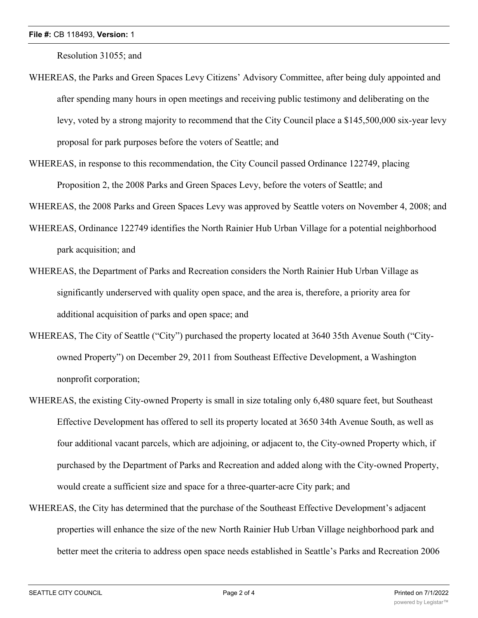Resolution 31055; and

- WHEREAS, the Parks and Green Spaces Levy Citizens' Advisory Committee, after being duly appointed and after spending many hours in open meetings and receiving public testimony and deliberating on the levy, voted by a strong majority to recommend that the City Council place a \$145,500,000 six-year levy proposal for park purposes before the voters of Seattle; and
- WHEREAS, in response to this recommendation, the City Council passed Ordinance 122749, placing Proposition 2, the 2008 Parks and Green Spaces Levy, before the voters of Seattle; and

WHEREAS, the 2008 Parks and Green Spaces Levy was approved by Seattle voters on November 4, 2008; and

- WHEREAS, Ordinance 122749 identifies the North Rainier Hub Urban Village for a potential neighborhood park acquisition; and
- WHEREAS, the Department of Parks and Recreation considers the North Rainier Hub Urban Village as significantly underserved with quality open space, and the area is, therefore, a priority area for additional acquisition of parks and open space; and
- WHEREAS, The City of Seattle ("City") purchased the property located at 3640 35th Avenue South ("Cityowned Property") on December 29, 2011 from Southeast Effective Development, a Washington nonprofit corporation;
- WHEREAS, the existing City-owned Property is small in size totaling only 6,480 square feet, but Southeast Effective Development has offered to sell its property located at 3650 34th Avenue South, as well as four additional vacant parcels, which are adjoining, or adjacent to, the City-owned Property which, if purchased by the Department of Parks and Recreation and added along with the City-owned Property, would create a sufficient size and space for a three-quarter-acre City park; and
- WHEREAS, the City has determined that the purchase of the Southeast Effective Development's adjacent properties will enhance the size of the new North Rainier Hub Urban Village neighborhood park and better meet the criteria to address open space needs established in Seattle's Parks and Recreation 2006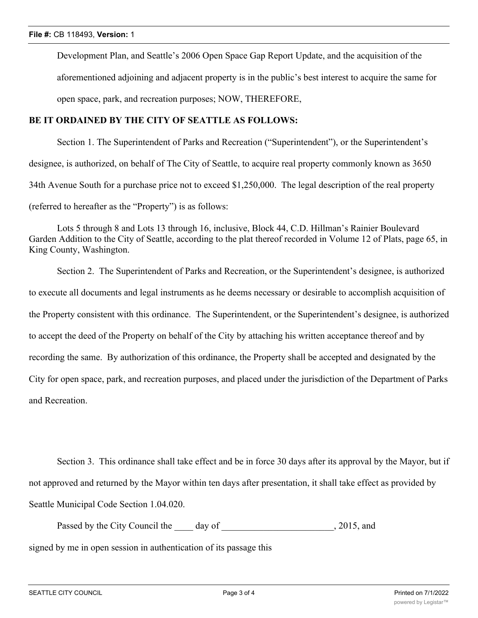Development Plan, and Seattle's 2006 Open Space Gap Report Update, and the acquisition of the aforementioned adjoining and adjacent property is in the public's best interest to acquire the same for open space, park, and recreation purposes; NOW, THEREFORE,

#### **BE IT ORDAINED BY THE CITY OF SEATTLE AS FOLLOWS:**

Section 1. The Superintendent of Parks and Recreation ("Superintendent"), or the Superintendent's designee, is authorized, on behalf of The City of Seattle, to acquire real property commonly known as 3650 34th Avenue South for a purchase price not to exceed \$1,250,000. The legal description of the real property (referred to hereafter as the "Property") is as follows:

Lots 5 through 8 and Lots 13 through 16, inclusive, Block 44, C.D. Hillman's Rainier Boulevard Garden Addition to the City of Seattle, according to the plat thereof recorded in Volume 12 of Plats, page 65, in King County, Washington.

Section 2. The Superintendent of Parks and Recreation, or the Superintendent's designee, is authorized to execute all documents and legal instruments as he deems necessary or desirable to accomplish acquisition of the Property consistent with this ordinance. The Superintendent, or the Superintendent's designee, is authorized to accept the deed of the Property on behalf of the City by attaching his written acceptance thereof and by recording the same. By authorization of this ordinance, the Property shall be accepted and designated by the City for open space, park, and recreation purposes, and placed under the jurisdiction of the Department of Parks and Recreation.

Section 3. This ordinance shall take effect and be in force 30 days after its approval by the Mayor, but if not approved and returned by the Mayor within ten days after presentation, it shall take effect as provided by Seattle Municipal Code Section 1.04.020.

Passed by the City Council the \_\_\_\_\_ day of \_\_\_\_\_\_\_\_\_\_\_\_\_\_\_\_\_\_\_\_\_\_\_\_\_\_\_\_\_\_, 2015, and signed by me in open session in authentication of its passage this